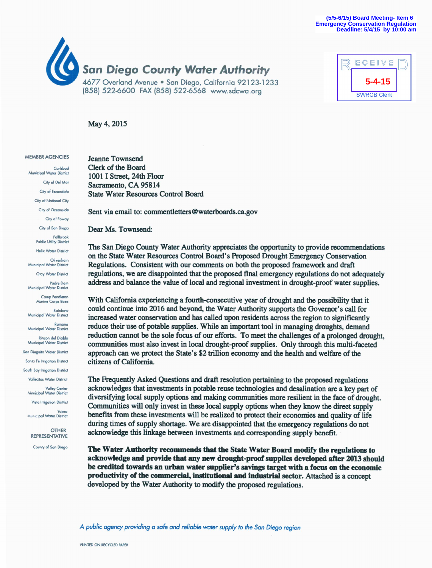



May 4, 2015

#### **MEMBER AGENCIES**

Carlsbod Municipal Water District City of Del Mor City of Escondido City of National City City of Oceanside City of Poway City of San Diego Fallbrook **Public Utility District Helix Water District** Olivenhain Municipal Water District Otav Water District Padre Dam Municipal Water District Camp Pendleton<br>Marine Corps Base Rainbow Municipal Water District Ramona Municipal Water District Rincon del Dioblo Municipal Water District San Dieguito Water District Santa Fe Irrigation District South Bay Irrigation District Vallecitos Water District Valley Center<br>Municipal Water District **Vista Irrigation District** Yuima Municipal Water District OTHER

**REPRESENTATIVE** County of San Diego

**Jeanne Townsend** Clerk of the Board 1001 I Street, 24th Floor Sacramento, CA 95814 **State Water Resources Control Board** 

Sent via email to: commentletters@waterboards.ca.gov

Dear Ms. Townsend:

The San Diego County Water Authority appreciates the opportunity to provide recommendations on the State Water Resources Control Board's Proposed Drought Emergency Conservation Regulations. Consistent with our comments on both the proposed framework and draft regulations, we are disappointed that the proposed final emergency regulations do not adequately address and balance the value of local and regional investment in drought-proof water supplies.

With California experiencing a fourth-consecutive year of drought and the possibility that it could continue into 2016 and beyond, the Water Authority supports the Governor's call for increased water conservation and has called upon residents across the region to significantly reduce their use of potable supplies. While an important tool in managing droughts, demand reduction cannot be the sole focus of our efforts. To meet the challenges of a prolonged drought, communities must also invest in local drought-proof supplies. Only through this multi-faceted approach can we protect the State's \$2 trillion economy and the health and welfare of the citizens of California.

The Frequently Asked Questions and draft resolution pertaining to the proposed regulations acknowledges that investments in potable reuse technologies and desalination are a key part of diversifying local supply options and making communities more resilient in the face of drought. Communities will only invest in these local supply options when they know the direct supply benefits from these investments will be realized to protect their economies and quality of life during times of supply shortage. We are disappointed that the emergency regulations do not acknowledge this linkage between investments and corresponding supply benefit.

The Water Authority recommends that the State Water Board modify the regulations to acknowledge and provide that any new drought-proof supplies developed after 2013 should be credited towards an urban water supplier's savings target with a focus on the economic productivity of the commercial, institutional and industrial sector. Attached is a concept developed by the Water Authority to modify the proposed regulations.

A public agency providing a safe and reliable water supply to the San Diego region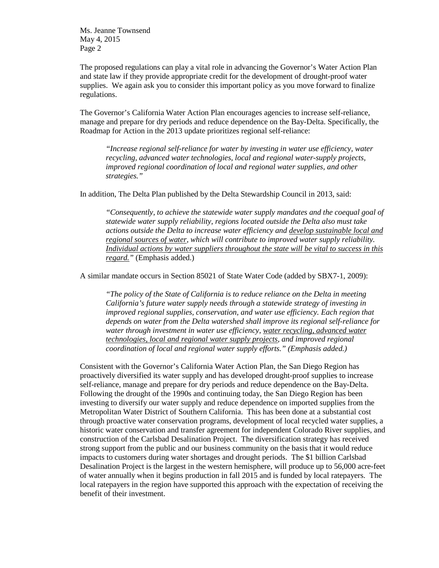Ms. Jeanne Townsend May 4, 2015 Page 2

The proposed regulations can play a vital role in advancing the Governor's Water Action Plan and state law if they provide appropriate credit for the development of drought-proof water supplies. We again ask you to consider this important policy as you move forward to finalize regulations.

The Governor's California Water Action Plan encourages agencies to increase self-reliance, manage and prepare for dry periods and reduce dependence on the Bay-Delta. Specifically, the Roadmap for Action in the 2013 update prioritizes regional self-reliance:

*"Increase regional self-reliance for water by investing in water use efficiency, water recycling, advanced water technologies, local and regional water-supply projects, improved regional coordination of local and regional water supplies, and other strategies."* 

In addition, The Delta Plan published by the Delta Stewardship Council in 2013, said:

*"Consequently, to achieve the statewide water supply mandates and the coequal goal of statewide water supply reliability, regions located outside the Delta also must take actions outside the Delta to increase water efficiency and develop sustainable local and regional sources of water, which will contribute to improved water supply reliability. Individual actions by water suppliers throughout the state will be vital to success in this regard."* (Emphasis added.)

A similar mandate occurs in Section 85021 of State Water Code (added by SBX7-1, 2009):

*"The policy of the State of California is to reduce reliance on the Delta in meeting California's future water supply needs through a statewide strategy of investing in improved regional supplies, conservation, and water use efficiency. Each region that depends on water from the Delta watershed shall improve its regional self-reliance for water through investment in water use efficiency, water recycling, advanced water technologies, local and regional water supply projects, and improved regional coordination of local and regional water supply efforts." (Emphasis added.)*

Consistent with the Governor's California Water Action Plan, the San Diego Region has proactively diversified its water supply and has developed drought-proof supplies to increase self-reliance, manage and prepare for dry periods and reduce dependence on the Bay-Delta. Following the drought of the 1990s and continuing today, the San Diego Region has been investing to diversify our water supply and reduce dependence on imported supplies from the Metropolitan Water District of Southern California. This has been done at a substantial cost through proactive water conservation programs, development of local recycled water supplies, a historic water conservation and transfer agreement for independent Colorado River supplies, and construction of the Carlsbad Desalination Project. The diversification strategy has received strong support from the public and our business community on the basis that it would reduce impacts to customers during water shortages and drought periods. The \$1 billion Carlsbad Desalination Project is the largest in the western hemisphere, will produce up to 56,000 acre-feet of water annually when it begins production in fall 2015 and is funded by local ratepayers. The local ratepayers in the region have supported this approach with the expectation of receiving the benefit of their investment.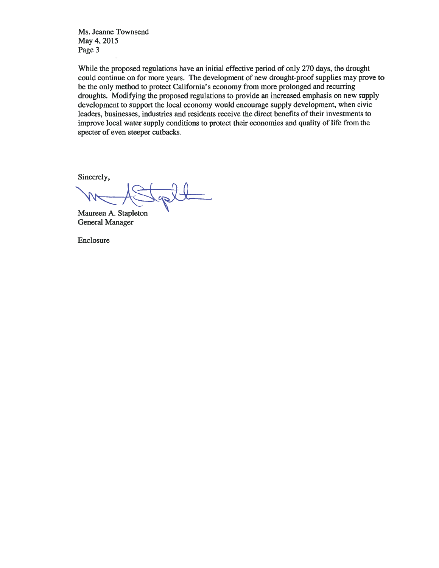Ms. Jeanne Townsend May 4, 2015 Page 3

While the proposed regulations have an initial effective period of only 270 days, the drought could continue on for more years. The development of new drought-proof supplies may prove to be the only method to protect California's economy from more prolonged and recurring droughts. Modifying the proposed regulations to provide an increased emphasis on new supply development to support the local economy would encourage supply development, when civic leaders, businesses, industries and residents receive the direct benefits of their investments to improve local water supply conditions to protect their economies and quality of life from the specter of even steeper cutbacks.

Sincerely,

Maureen A. Stapleton **General Manager** 

Enclosure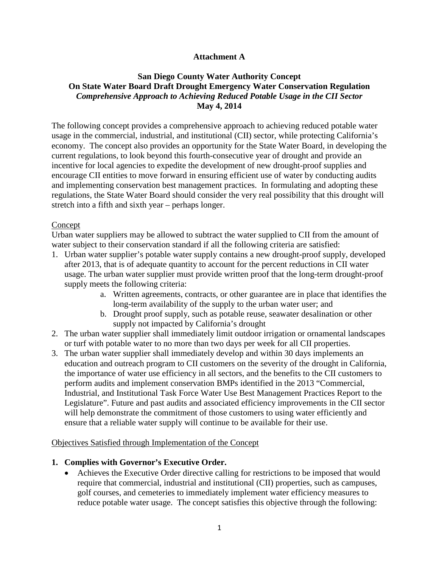# **Attachment A**

## **San Diego County Water Authority Concept On State Water Board Draft Drought Emergency Water Conservation Regulation** *Comprehensive Approach to Achieving Reduced Potable Usage in the CII Sector* **May 4, 2014**

The following concept provides a comprehensive approach to achieving reduced potable water usage in the commercial, industrial, and institutional (CII) sector, while protecting California's economy. The concept also provides an opportunity for the State Water Board, in developing the current regulations, to look beyond this fourth-consecutive year of drought and provide an incentive for local agencies to expedite the development of new drought-proof supplies and encourage CII entities to move forward in ensuring efficient use of water by conducting audits and implementing conservation best management practices. In formulating and adopting these regulations, the State Water Board should consider the very real possibility that this drought will stretch into a fifth and sixth year – perhaps longer.

### Concept

Urban water suppliers may be allowed to subtract the water supplied to CII from the amount of water subject to their conservation standard if all the following criteria are satisfied:

- 1. Urban water supplier's potable water supply contains a new drought-proof supply, developed after 2013, that is of adequate quantity to account for the percent reductions in CII water usage. The urban water supplier must provide written proof that the long-term drought-proof supply meets the following criteria:
	- a. Written agreements, contracts, or other guarantee are in place that identifies the long-term availability of the supply to the urban water user; and
	- b. Drought proof supply, such as potable reuse, seawater desalination or other supply not impacted by California's drought
- 2. The urban water supplier shall immediately limit outdoor irrigation or ornamental landscapes or turf with potable water to no more than two days per week for all CII properties.
- 3. The urban water supplier shall immediately develop and within 30 days implements an education and outreach program to CII customers on the severity of the drought in California, the importance of water use efficiency in all sectors, and the benefits to the CII customers to perform audits and implement conservation BMPs identified in the 2013 "Commercial, Industrial, and Institutional Task Force Water Use Best Management Practices Report to the Legislature". Future and past audits and associated efficiency improvements in the CII sector will help demonstrate the commitment of those customers to using water efficiently and ensure that a reliable water supply will continue to be available for their use.

### Objectives Satisfied through Implementation of the Concept

### **1. Complies with Governor's Executive Order.**

• Achieves the Executive Order directive calling for restrictions to be imposed that would require that commercial, industrial and institutional (CII) properties, such as campuses, golf courses, and cemeteries to immediately implement water efficiency measures to reduce potable water usage. The concept satisfies this objective through the following: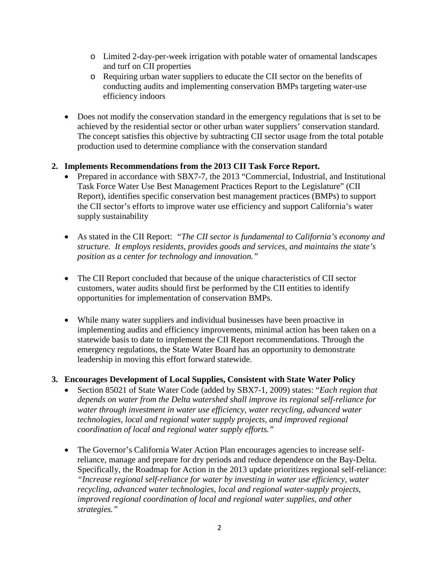- o Limited 2-day-per-week irrigation with potable water of ornamental landscapes and turf on CII properties
- o Requiring urban water suppliers to educate the CII sector on the benefits of conducting audits and implementing conservation BMPs targeting water-use efficiency indoors
- Does not modify the conservation standard in the emergency regulations that is set to be achieved by the residential sector or other urban water suppliers' conservation standard. The concept satisfies this objective by subtracting CII sector usage from the total potable production used to determine compliance with the conservation standard

# **2. Implements Recommendations from the 2013 CII Task Force Report.**

- Prepared in accordance with SBX7-7, the 2013 "Commercial, Industrial, and Institutional Task Force Water Use Best Management Practices Report to the Legislature" (CII Report), identifies specific conservation best management practices (BMPs) to support the CII sector's efforts to improve water use efficiency and support California's water supply sustainability
- As stated in the CII Report: *"The CII sector is fundamental to California's economy and structure. It employs residents, provides goods and services, and maintains the state's position as a center for technology and innovation."*
- The CII Report concluded that because of the unique characteristics of CII sector customers, water audits should first be performed by the CII entities to identify opportunities for implementation of conservation BMPs.
- While many water suppliers and individual businesses have been proactive in implementing audits and efficiency improvements, minimal action has been taken on a statewide basis to date to implement the CII Report recommendations. Through the emergency regulations, the State Water Board has an opportunity to demonstrate leadership in moving this effort forward statewide.

# **3. Encourages Development of Local Supplies, Consistent with State Water Policy**

- Section 85021 of State Water Code (added by SBX7-1, 2009) states: "*Each region that depends on water from the Delta watershed shall improve its regional self-reliance for water through investment in water use efficiency, water recycling, advanced water technologies, local and regional water supply projects, and improved regional coordination of local and regional water supply efforts."*
- The Governor's California Water Action Plan encourages agencies to increase selfreliance, manage and prepare for dry periods and reduce dependence on the Bay-Delta. Specifically, the Roadmap for Action in the 2013 update prioritizes regional self-reliance: *"Increase regional self-reliance for water by investing in water use efficiency, water recycling, advanced water technologies, local and regional water-supply projects, improved regional coordination of local and regional water supplies, and other strategies."*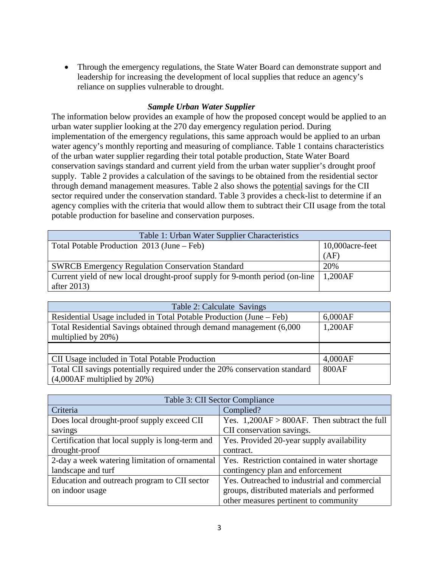• Through the emergency regulations, the State Water Board can demonstrate support and leadership for increasing the development of local supplies that reduce an agency's reliance on supplies vulnerable to drought.

## *Sample Urban Water Supplier*

The information below provides an example of how the proposed concept would be applied to an urban water supplier looking at the 270 day emergency regulation period. During implementation of the emergency regulations, this same approach would be applied to an urban water agency's monthly reporting and measuring of compliance. Table 1 contains characteristics of the urban water supplier regarding their total potable production, State Water Board conservation savings standard and current yield from the urban water supplier's drought proof supply. Table 2 provides a calculation of the savings to be obtained from the residential sector through demand management measures. Table 2 also shows the potential savings for the CII sector required under the conservation standard. Table 3 provides a check-list to determine if an agency complies with the criteria that would allow them to subtract their CII usage from the total potable production for baseline and conservation purposes.

| Table 1: Urban Water Supplier Characteristics                               |                  |
|-----------------------------------------------------------------------------|------------------|
| Total Potable Production 2013 (June – Feb)                                  | 10,000 acre-feet |
|                                                                             | (AF)             |
| <b>SWRCB Emergency Regulation Conservation Standard</b>                     | 20%              |
| Current yield of new local drought-proof supply for 9-month period (on-line | 1,200AF          |
| after $2013$                                                                |                  |

| Table 2: Calculate Savings                                                                    |         |  |
|-----------------------------------------------------------------------------------------------|---------|--|
| Residential Usage included in Total Potable Production (June – Feb)                           | 6,000AF |  |
| Total Residential Savings obtained through demand management (6,000<br>multiplied by $20\%$ ) | 1,200AF |  |
|                                                                                               |         |  |
| CII Usage included in Total Potable Production                                                | 4,000AF |  |
| Total CII savings potentially required under the 20% conservation standard                    | 800AF   |  |
| $(4,000AF$ multiplied by $20\%)$                                                              |         |  |

| Table 3: CII Sector Compliance                   |                                                 |  |
|--------------------------------------------------|-------------------------------------------------|--|
| Criteria                                         | Complied?                                       |  |
| Does local drought-proof supply exceed CII       | Yes. $1,200AF > 800AF$ . Then subtract the full |  |
| savings                                          | CII conservation savings.                       |  |
| Certification that local supply is long-term and | Yes. Provided 20-year supply availability       |  |
| drought-proof                                    | contract.                                       |  |
| 2-day a week watering limitation of ornamental   | Yes. Restriction contained in water shortage    |  |
| landscape and turf                               | contingency plan and enforcement                |  |
| Education and outreach program to CII sector     | Yes. Outreached to industrial and commercial    |  |
| on indoor usage                                  | groups, distributed materials and performed     |  |
|                                                  | other measures pertinent to community           |  |